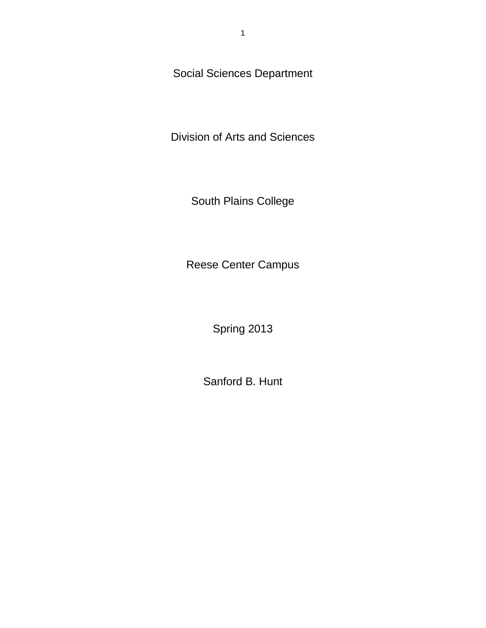Social Sciences Department

Division of Arts and Sciences

South Plains College

Reese Center Campus

Spring 2013

Sanford B. Hunt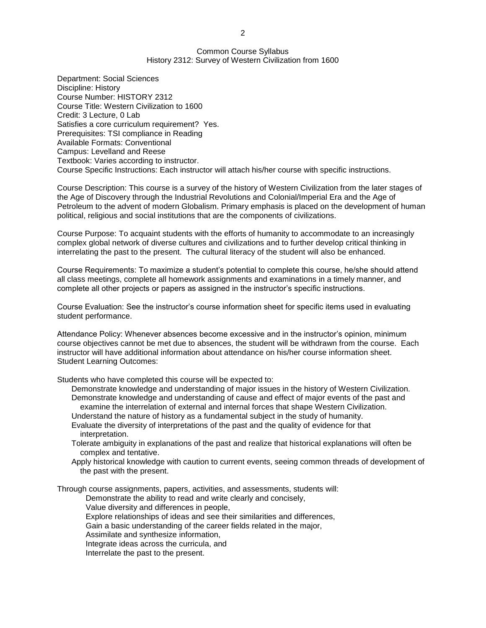#### Common Course Syllabus History 2312: Survey of Western Civilization from 1600

Department: Social Sciences Discipline: History Course Number: HISTORY 2312 Course Title: Western Civilization to 1600 Credit: 3 Lecture, 0 Lab Satisfies a core curriculum requirement? Yes. Prerequisites: TSI compliance in Reading Available Formats: Conventional Campus: Levelland and Reese Textbook: Varies according to instructor. Course Specific Instructions: Each instructor will attach his/her course with specific instructions.

Course Description: This course is a survey of the history of Western Civilization from the later stages of the Age of Discovery through the Industrial Revolutions and Colonial/Imperial Era and the Age of Petroleum to the advent of modern Globalism. Primary emphasis is placed on the development of human political, religious and social institutions that are the components of civilizations.

Course Purpose: To acquaint students with the efforts of humanity to accommodate to an increasingly complex global network of diverse cultures and civilizations and to further develop critical thinking in interrelating the past to the present. The cultural literacy of the student will also be enhanced.

Course Requirements: To maximize a student's potential to complete this course, he/she should attend all class meetings, complete all homework assignments and examinations in a timely manner, and complete all other projects or papers as assigned in the instructor's specific instructions.

Course Evaluation: See the instructor's course information sheet for specific items used in evaluating student performance.

Attendance Policy: Whenever absences become excessive and in the instructor's opinion, minimum course objectives cannot be met due to absences, the student will be withdrawn from the course. Each instructor will have additional information about attendance on his/her course information sheet. Student Learning Outcomes:

Students who have completed this course will be expected to:

- Demonstrate knowledge and understanding of major issues in the history of Western Civilization. Demonstrate knowledge and understanding of cause and effect of major events of the past and examine the interrelation of external and internal forces that shape Western Civilization.
- Understand the nature of history as a fundamental subject in the study of humanity. Evaluate the diversity of interpretations of the past and the quality of evidence for that interpretation.
- Tolerate ambiguity in explanations of the past and realize that historical explanations will often be complex and tentative.
- Apply historical knowledge with caution to current events, seeing common threads of development of the past with the present.

Through course assignments, papers, activities, and assessments, students will:

Demonstrate the ability to read and write clearly and concisely,

Value diversity and differences in people,

Explore relationships of ideas and see their similarities and differences,

Gain a basic understanding of the career fields related in the major,

Assimilate and synthesize information,

Integrate ideas across the curricula, and

Interrelate the past to the present.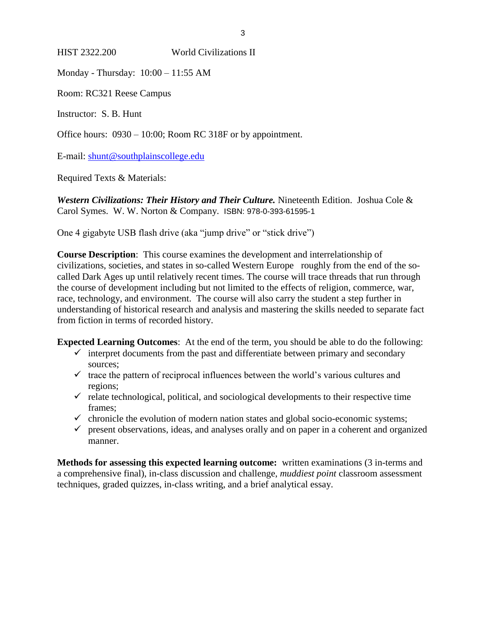### HIST 2322.200 World Civilizations II

Monday - Thursday: 10:00 – 11:55 AM

Room: RC321 Reese Campus

Instructor: S. B. Hunt

Office hours: 0930 – 10:00; Room RC 318F or by appointment.

E-mail: [shunt@southplainscollege.edu](mailto:shunt@southplainscollege.edu)

Required Texts & Materials:

*Western Civilizations: Their History and Their Culture.* Nineteenth Edition. Joshua Cole & Carol Symes. W. W. Norton & Company. ISBN: 978-0-393-61595-1

One 4 gigabyte USB flash drive (aka "jump drive" or "stick drive")

**Course Description**: This course examines the development and interrelationship of civilizations, societies, and states in so-called Western Europe roughly from the end of the socalled Dark Ages up until relatively recent times. The course will trace threads that run through the course of development including but not limited to the effects of religion, commerce, war, race, technology, and environment. The course will also carry the student a step further in understanding of historical research and analysis and mastering the skills needed to separate fact from fiction in terms of recorded history.

**Expected Learning Outcomes**: At the end of the term, you should be able to do the following:

- $\checkmark$  interpret documents from the past and differentiate between primary and secondary sources;
- $\checkmark$  trace the pattern of reciprocal influences between the world's various cultures and regions;
- $\checkmark$  relate technological, political, and sociological developments to their respective time frames;
- $\checkmark$  chronicle the evolution of modern nation states and global socio-economic systems;
- $\checkmark$  present observations, ideas, and analyses orally and on paper in a coherent and organized manner.

**Methods for assessing this expected learning outcome:** written examinations (3 in-terms and a comprehensive final), in-class discussion and challenge, *muddiest point* classroom assessment techniques, graded quizzes, in-class writing, and a brief analytical essay.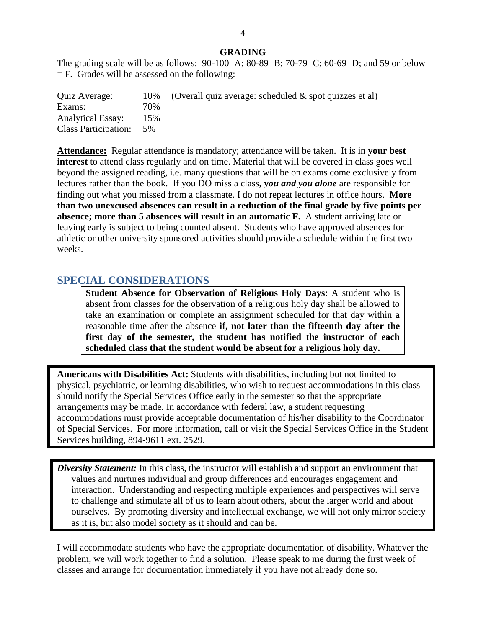#### **GRADING**

The grading scale will be as follows:  $90-100=A$ ;  $80-89=B$ ;  $70-79=C$ ;  $60-69=D$ ; and  $59$  or below  $=$  F. Grades will be assessed on the following:

| Quiz Average:               | 10% | (Overall quiz average: scheduled $\&$ spot quizzes et al) |
|-----------------------------|-----|-----------------------------------------------------------|
| Exams:                      | 70% |                                                           |
| <b>Analytical Essay:</b>    | 15% |                                                           |
| <b>Class Participation:</b> | 5%  |                                                           |

**Attendance:** Regular attendance is mandatory; attendance will be taken. It is in **your best interest** to attend class regularly and on time. Material that will be covered in class goes well beyond the assigned reading, i.e. many questions that will be on exams come exclusively from lectures rather than the book. If you DO miss a class, **y***ou and you alone* are responsible for finding out what you missed from a classmate. I do not repeat lectures in office hours. **More than two unexcused absences can result in a reduction of the final grade by five points per absence; more than 5 absences will result in an automatic F.** A student arriving late or leaving early is subject to being counted absent. Students who have approved absences for athletic or other university sponsored activities should provide a schedule within the first two weeks.

## **SPECIAL CONSIDERATIONS**

**Student Absence for Observation of Religious Holy Days**: A student who is absent from classes for the observation of a religious holy day shall be allowed to take an examination or complete an assignment scheduled for that day within a reasonable time after the absence **if, not later than the fifteenth day after the first day of the semester, the student has notified the instructor of each scheduled class that the student would be absent for a religious holy day.**

**Americans with Disabilities Act:** Students with disabilities, including but not limited to physical, psychiatric, or learning disabilities, who wish to request accommodations in this class should notify the Special Services Office early in the semester so that the appropriate arrangements may be made. In accordance with federal law, a student requesting accommodations must provide acceptable documentation of his/her disability to the Coordinator of Special Services. For more information, call or visit the Special Services Office in the Student Services building, 894-9611 ext. 2529.

*Diversity Statement:* In this class, the instructor will establish and support an environment that values and nurtures individual and group differences and encourages engagement and interaction. Understanding and respecting multiple experiences and perspectives will serve to challenge and stimulate all of us to learn about others, about the larger world and about ourselves. By promoting diversity and intellectual exchange, we will not only mirror society as it is, but also model society as it should and can be.

I will accommodate students who have the appropriate documentation of disability. Whatever the problem, we will work together to find a solution. Please speak to me during the first week of classes and arrange for documentation immediately if you have not already done so.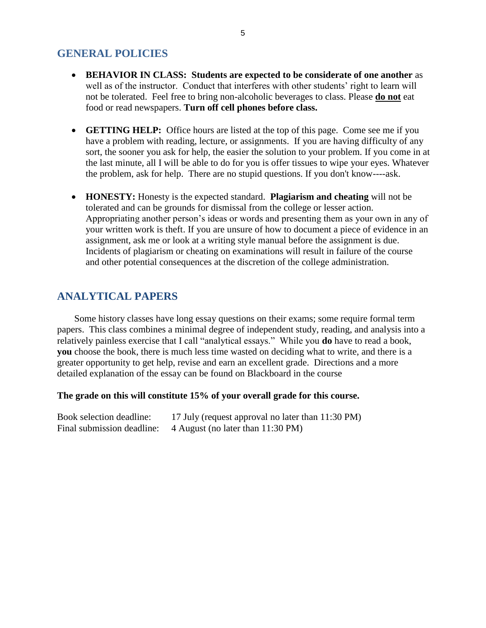## **GENERAL POLICIES**

- **BEHAVIOR IN CLASS: Students are expected to be considerate of one another** as well as of the instructor. Conduct that interferes with other students' right to learn will not be tolerated. Feel free to bring non-alcoholic beverages to class. Please **do not** eat food or read newspapers. **Turn off cell phones before class.**
- **GETTING HELP:** Office hours are listed at the top of this page. Come see me if you have a problem with reading, lecture, or assignments. If you are having difficulty of any sort, the sooner you ask for help, the easier the solution to your problem. If you come in at the last minute, all I will be able to do for you is offer tissues to wipe your eyes. Whatever the problem, ask for help. There are no stupid questions. If you don't know----ask.
- **HONESTY:** Honesty is the expected standard. **Plagiarism and cheating** will not be tolerated and can be grounds for dismissal from the college or lesser action. Appropriating another person's ideas or words and presenting them as your own in any of your written work is theft. If you are unsure of how to document a piece of evidence in an assignment, ask me or look at a writing style manual before the assignment is due. Incidents of plagiarism or cheating on examinations will result in failure of the course and other potential consequences at the discretion of the college administration.

# **ANALYTICAL PAPERS**

Some history classes have long essay questions on their exams; some require formal term papers. This class combines a minimal degree of independent study, reading, and analysis into a relatively painless exercise that I call "analytical essays." While you **do** have to read a book, **you** choose the book, there is much less time wasted on deciding what to write, and there is a greater opportunity to get help, revise and earn an excellent grade. Directions and a more detailed explanation of the essay can be found on Blackboard in the course

#### **The grade on this will constitute 15% of your overall grade for this course.**

| Book selection deadline:   | 17 July (request approval no later than 11:30 PM) |
|----------------------------|---------------------------------------------------|
| Final submission deadline: | 4 August (no later than 11:30 PM)                 |